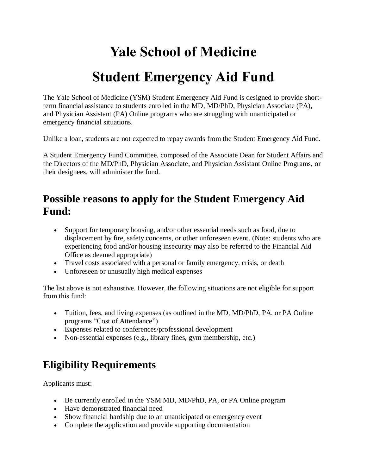# **Yale School of Medicine**

## **Student Emergency Aid Fund**

The Yale School of Medicine (YSM) Student Emergency Aid Fund is designed to provide shortterm financial assistance to students enrolled in the MD, MD/PhD, Physician Associate (PA), and Physician Assistant (PA) Online programs who are struggling with unanticipated or emergency financial situations.

Unlike a loan, students are not expected to repay awards from the Student Emergency Aid Fund.

A Student Emergency Fund Committee, composed of the Associate Dean for Student Affairs and the Directors of the MD/PhD, Physician Associate, and Physician Assistant Online Programs, or their designees, will administer the fund.

#### **Possible reasons to apply for the Student Emergency Aid Fund:**

- Support for temporary housing, and/or other essential needs such as food, due to displacement by fire, safety concerns, or other unforeseen event. (Note: students who are experiencing food and/or housing insecurity may also be referred to the Financial Aid Office as deemed appropriate)
- Travel costs associated with a personal or family emergency, crisis, or death
- Unforeseen or unusually high medical expenses

The list above is not exhaustive. However, the following situations are not eligible for support from this fund:

- Tuition, fees, and living expenses (as outlined in the MD, MD/PhD, PA, or PA Online programs "Cost of Attendance")
- Expenses related to conferences/professional development
- Non-essential expenses (e.g., library fines, gym membership, etc.)

#### **Eligibility Requirements**

Applicants must:

- Be currently enrolled in the YSM MD, MD/PhD, PA, or PA Online program
- Have demonstrated financial need
- Show financial hardship due to an unanticipated or emergency event
- Complete the application and provide supporting documentation